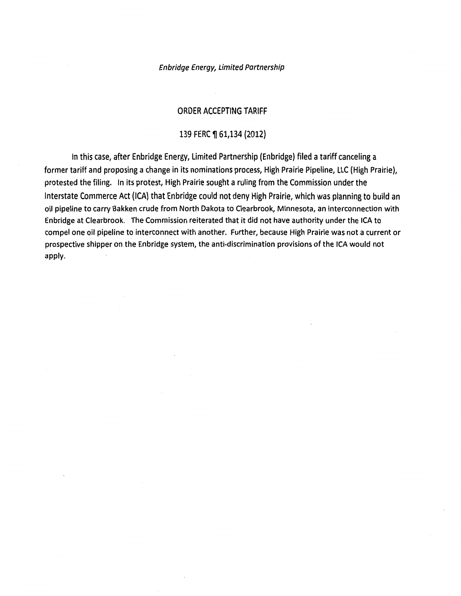#### Enbridge Energy, Limited Partnership

#### ORDER ACCEPTING TARIFF

#### 139 FERC ¶ 61,134 (2012)

In this case, after Enbridge Energy, Limited Partnership (Enbridge) filed a tariff canceling a former tariff and proposing a change in its nominations process, High Prairie Pipeline, LLC {High Prairie), protested the filing. In its protest, High Prairie sought a ruling from the Commission under the Interstate Commerce Act (ICA) that Enbridge could not deny High Prairie, which was planning to build an oil pipeline to carry Bakken crude from North Dakota to Clearbrook, Minnesota, an interconnection with Enbridge at Clearbrook. The Commission reiterated that it did not have authority under the ICA to compel one oil pipeline to interconnect with another. Further, because High Prairie was not a current or prospective shipper on the Enbridge system, the anti-discrimination provisions of the ICA would not apply.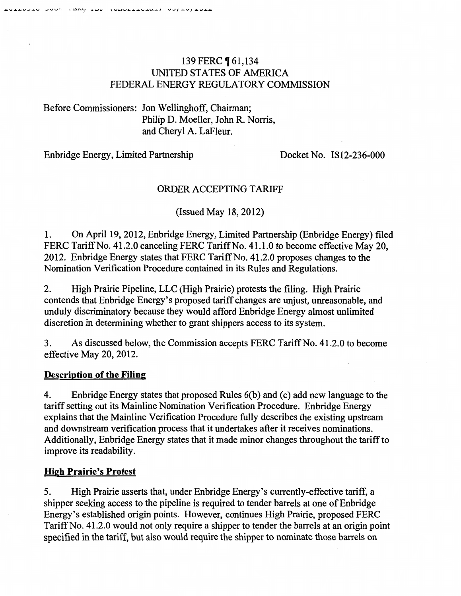# 139 FERC ¶ 61,134 UNITED STATES OF AMERICA FEDERAL ENERGY REGULATORY COMMISSION

Before Commissioners: Jon Wellinghoff, Chairman; Philip D. Moeller, John R. Norris, and Cheryl A. LaFleur.

Enbridge Energy, Limited Partnership Docket No. IS12-236-000

# ORDER ACCEPTING TARIFF

(Issued May 18, 2012)

1. On April19, 2012, Enbridge Energy, Limited Partnership (Enbridge Energy) filed FERC Tariff No. 41.2.0 canceling FERC Tariff No. 41.1.0 to become effective May 20, 2012. Enbridge Energy states that FERC Tariff No. 41.2.0 proposes changes to the Nomination Verification Procedure contained in its Rules and Regulations.

2. High Prairie Pipeline, LLC (High Prairie) protests the filing. High Prairie contends that Enbridge Energy's proposed tariff changes are unjust, unreasonable, and unduly discriminatory because they would afford Enbridge Energy almost unlimited discretion in determining whether to grant shippers access to its system.

3. As discussed below, the Commission accepts FERC Tariff No. 41.2.0 to become effective May 20, 2012.

#### **Description of the Filing**

4. Enbridge Energy states that proposed Rules 6(b) and (c) add new language to the tariff setting out its Mainline Nomination Verification Procedure. Enbridge Energy explains that the Mainline Verification Procedure fully describes the existing upstream and downstream verification process that it undertakes after it receives nominations. Additionally, Enbridge Energy states that it made minor changes throughout the tariff to improve its readability.

#### **High Prairie's Protest**

5. High Prairie asserts that, under Enbridge Energy's currently-effective tariff, a shipper seeking access to the pipeline is required to tender barrels at one of Enbridge Energy's established origin points. However, continues High Prairie, proposed FERC Tariff No. 41.2.0 would not only require a shipper to tender the barrels at an origin point specified in the tariff, but also would require the shipper to nominate those barrels on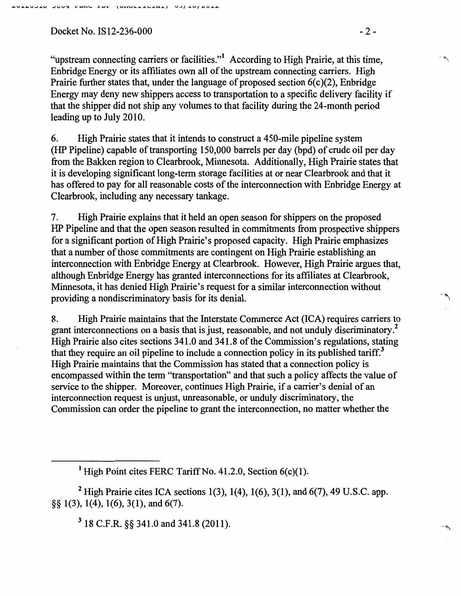Docket No. IS12-236-000 - 2-

"upstream connecting carriers or facilities."1 According to High Prairie, at this time, Enbridge Energy or its affiliates own all of the upstream connecting carriers. High Prairie further states that, under the language of proposed section  $6(c)(2)$ , Enbridge Energy may deny new shippers access to transportation to a specific delivery facility if that the shipper did not ship any volumes to that facility during the 24-month period leading up to July 2010.

6. High Prairie states that it intends to construct a 450-mile pipeline system (HP Pipeline) capable of transporting 150,000 barrels per day (bpd) of crude oil per day from the Bakken region to Clearbrook, Minnesota. Additionally, High Prairie states that it is developing significant long-term storage facilities at or near Clearbrook and that it has offered to pay for all reasonable costs of the interconnection with Enbridge Energy at Clearbrook, including any necessary tankage.

7. High Prairie explains that it held an open season for shippers on the proposed HP Pipeline and that the open season resulted in commitments from prospective shippers for a significant portion of High Prairie's proposed capacity. High Prairie emphasizes that a number of those commitments are contingent on High Prairie establishing an interconnection with Enbridge Energy at Clearbrook. However, High Prairie argues that, although Enbridge Energy has granted interconnections for its affiliates at Clearbrook, Minnesota, it has denied High Prairie's request for a similar interconnection without providing a nondiscriminatory basis for its denial.

8. High Prairie maintains that the Interstate Commerce Act (ICA) requires carriers to grant interconnections on a basis that is just, reasonable, and not unduly discriminatory . 2 High Prairie also cites sections 341.0 and 341.8 of the Commission's regulations, stating that they require an oil pipeline to include a connection policy in its published tariff.<sup>3</sup> High Prairie maintains that the Commission has stated that a connection policy is encompassed within the term ''transportation" and that such a policy affects the value of service to the shipper. Moreover, continues High Prairie, if a carrier's denial of an interconnection request is unjust, unreasonable, or unduly discriminatory, the Commission can order the pipeline to grant the interconnection, no matter whether the

<sup>1</sup> High Point cites FERC Tariff No. 41.2.0, Section  $6(c)(1)$ .

<sup>2</sup> High Prairie cites ICA sections 1(3), 1(4), 1(6), 3(1), and 6(7), 49 U.S.C. app. §§ 1(3), 1(4), 1(6), 3(1), and 6(7).

3 18 C.F.R. §§ 341.0 and 341.8 (2011).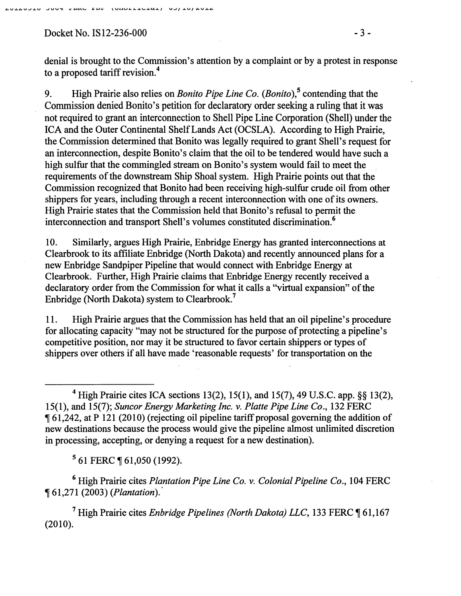#### Soos can see noncliteral controlate

Docket No. IS12-236-000 - 3 -

denial is brought to the Commission's attention by a complaint or by a protest in response to a proposed tariff revision. 4

9. High Prairie also relies on *Bonito Pipe Line Co. (Bonito),5* contending that the Commission denied Bonito's petition for declaratory order seeking a ruling that it was not required to grant an interconnection to Shell Pipe Line Corporation (Shell) under the ICA and the Outer Continental Shelf Lands Act (OCSLA). According to High Prairie, the Commission determined that Bonito was legally required to grant Shell's request for an interconnection, despite Bonito's claim that the oil to be tendered would have such a high sulfur that the commingled stream on Bonito's system would fail to meet the requirements of the downstream Ship Shoal system. High Prairie points out that the Commission recognized that Bonito had been receiving high-sulfur crude oil from other shippers for years, including through a recent interconnection with one of its owners. High Prairie states that the Commission held that Bonito's refusal to permit the interconnection and transport Shell's volumes constituted discrimination.<sup>6</sup>

10. Similarly, argues High Prairie, Enbridge Energy has granted interconnections at Clearbrook to its affiliate Enbridge (North Dakota) and recently announced plans for a new Enbridge Sandpiper Pipeline that would connect with Enbridge Energy at Clearbrook. Further, High Prairie claims that Enbridge Energy recently received a declaratory order from the Commission for what it calls a ''virtual expansion" of the Enbridge (North Dakota) system to Clearbrook.7

11. High Prairie argues that the Commission has held that an oil pipeline's procedure for allocating capacity "may not be structured for the purpose of protecting a pipeline's competitive position, nor may it be structured to favor certain shippers or types of shippers over others if all have made 'reasonable requests' for transportation on the

<sup>4</sup> High Prairie cites ICA sections 13(2), 15(1), and 15(7), 49 U.S.C. app. §§ 13(2), 15(1), and 15(7); *Suncor Energy Marketing Inc. v. Platte Pipe Line Co.,* 132 FERC , 61,242, at P 121 (2010) (rejecting oil pipeline tariff proposal governing the addition of new destinations because the process would give the pipeline almost unlimited discretion in processing, accepting, or denying a request for a new destination).

<sup>5</sup> 61 FERC ¶ 61,050 (1992).

6 High Prairie cites *Plantation Pipe Line Co. v. Colonial Pipeline Co.,* 104 FERC , 61,271 (2003) *(Plantation).·* 

<sup>7</sup> High Prairie cites *Enbridge Pipelines (North Dakota) LLC*, 133 FERC ¶ 61,167 (2010).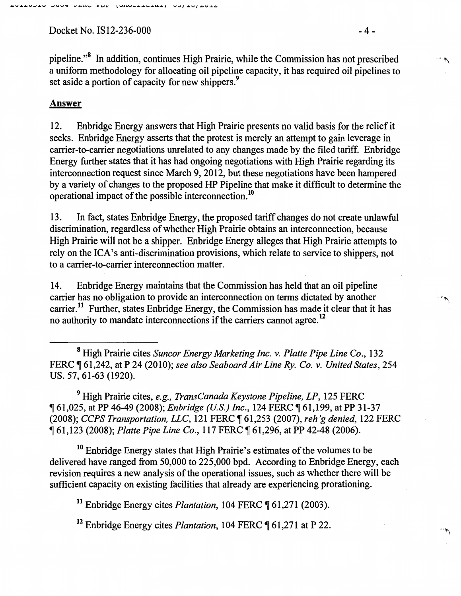$Docket No. IS12-236-000$  - 4 -

pipeline."<sup>8</sup> In addition, continues High Prairie, while the Commission has not prescribed a uniform methodology for allocating oil pipeline capacity, it has required oil pipelines to set aside a portion of capacity for new shippers.<sup>9</sup>

#### Answer

12. Enbridge Energy answers that High Prairie presents no valid basis for the relief it seeks. Enbridge Energy asserts that the protest is merely an attempt to gain leverage in carrier-to-carrier negotiations unrelated to any changes made by the filed tariff. Enbridge Energy further states that it has had ongoing negotiations with High Prairie regarding its interconnection request since March 9, 2012, but these negotiations have been hampered by a variety of changes to the proposed HP Pipeline that make it difficult to determine the operational impact of the possible interconnection.10

13. In fact, states Enbridge Energy, the proposed tariff changes do not create unlawful discrimination, regardless of whether High Prairie obtains an interconnection, because High Prairie will not be a shipper. Enbridge Energy alleges that High Prairie attempts to rely on the ICA's anti-discrimination provisions, which relate to service to shippers, not to a carrier-to-carrier interconnection matter.

14. Enbridge Energy maintains that the Commission has held that an oil pipeline carrier has no obligation to provide an interconnection on terms dictated by another carrier.<sup>11</sup> Further, states Enbridge Energy, the Commission has made it clear that it has no authority to mandate interconnections if the carriers cannot agree. 12

<sup>8</sup>High Prairie cites *Suncor Energy Marketing Inc. v. Platte Pipe Line Co.,* 132 FERC ~ 61,242, at P 24 (2010); *see also Seaboard Air Line Ry. Co. v. United States,* 254 us. 57, 61-63 (1920).

9 High Prairie cites, *e.g., TransCanada Keystone Pipeline, LP,* 125 FERC <sup>~</sup>61,025, at PP 46-49 (2008); *Enbridge (U.S.) Inc.,* 124 FERC ~ 61,199, at PP 31-37 (2008); *CCPS Transportation, LLC,* 121 FERC ~ 61,253 (2007), *reh'g denied,* 122 FERC <sup>~</sup>61,123 (2008); *Platte Pipe Line Co.,* 117 FERC ~ 61,296, at PP 42-48 (2006).

<sup>10</sup> Enbridge Energy states that High Prairie's estimates of the volumes to be delivered have ranged from 50,000 to 225,000 bpd. According to Enbridge Energy, each revision requires a new analysis of the operational issues, such as whether there will be sufficient capacity on existing facilities that already are experiencing prorationing.

<sup>11</sup> Enbridge Energy cites *Plantation*, 104 FERC  $\sqrt{61,271}$  (2003).

<sup>12</sup> Enbridge Energy cites *Plantation*, 104 FERC ¶ 61,271 at P 22.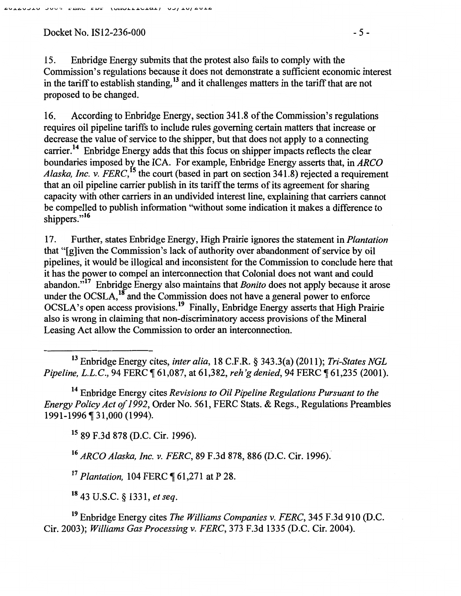Docket No. IS12-236-000 - 5 -

15. Enbridge Energy submits that the protest also fails to comply with the Commission's regulations because it does not demonstrate a sufficient economic interest in the tariff to establish standing,<sup>13</sup> and it challenges matters in the tariff that are not proposed to be changed.

16. According to Enbridge Energy, section 341.8 of the Commission's regulations requires oil pipeline tariffs to include rules governing certain matters that increase or decrease the value of service to the shipper, but that does not apply to a connecting carrier.<sup>14</sup> Enbridge Energy adds that this focus on shipper impacts reflects the clear boundaries imposed b~ the ICA. For example, Enbridge Energy asserts that, in *ARCO Alaska, Inc.* v. *FERC,* 5 the court (based in part on section 341.8) rejected a requirement that an oil pipeline carrier publish in its tariff the terms of its agreement for sharing capacity with other carriers in an undivided interest line, explaining that carriers cannot be compelled to publish information ''without some indication it makes a difference to shippers."<sup>16</sup>

17. Further, states Enbridge Energy, High Prairie ignores the statement in *Plantation*  that "[g]iven the Commission's lack of authority over abandonment of service by oil pipelines, it would be illogical and inconsistent for the Commission to conclude here that it has the power to compel an interconnection that Colonial does not want and could abandon."17 Enbridge Energy also maintains that *Bonito* does not apply because it arose under the OCSLA,  $^{18}$  and the Commission does not have a general power to enforce OCSLA's open access provisions. 19 Finally, Enbridge Energy asserts that High Prairie also is wrong in claiming that non-discriminatory access provisions of the Mineral Leasing Act allow the Commission to order an interconnection.

13 Enbridge Energy cites, *inter alia,* 18 C.F.R. § 343.3(a) (2011); *Tri-States NGL Pipeline, L.L.C.*, 94 FERC  $\P$  61,087, at 61,382, *reh'g denied*, 94 FERC  $\P$  61,235 (2001).

14 Enbridge Energy cites *Revisions to Oil Pipeline Regulations Pursuant to the Energy Policy Act of 1992,* Order No. 561, FERC Stats. & Regs., Regulations Preambles 1991-1996 ¶ 31,000 (1994).

15 89 F.3d 878 (D.C. Cir. 1996).

<sup>16</sup> ARCO Alaska, Inc. v. FERC, 89 F.3d 878, 886 (D.C. Cir. 1996).

<sup>17</sup> Plantation, 104 FERC ¶ 61,271 at P 28.

18 43 U.S.C. § 1331, *et seq.* 

19 Enbridge Energy cites *The Williams Companies* v. *FERC,* 345 F .3d 910 (D.C. Cir. 2003); *Williams Gas Processing* v. *FERC,* 373 F.3d 1335 (D.C. Cir. 2004).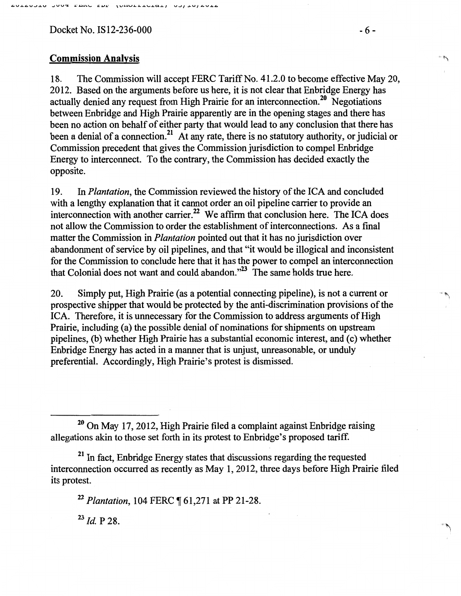$Docket No. IS12-236-000$  -6 -

## Commission Analysis '" 'f\

18. The Commission will accept FERC Tariff No. 41.2.0 to become effective May 20, 2012. Based on the arguments before us here, it is not clear that Enbridge Energy has actually denied any request from High Prairie for an interconnection.<sup>20</sup> Negotiations between Enbridge and High Prairie apparently are in the opening stages and there has been no action on behalf of either party that would lead to any conclusion that there has been a denial of a connection.<sup>21</sup> At any rate, there is no statutory authority, or judicial or Commission precedent that gives the Commission jurisdiction to compel Enbridge Energy to interconnect. To the contrary, the Commission has decided exactly the opposite.

19. In *Plantation,* the Commission reviewed the history of the ICA and concluded with a lengthy explanation that it cannot order an oil pipeline carrier to provide an interconnection with another carrier.<sup>22</sup> We affirm that conclusion here. The ICA does not allow the Commission to order the establishment of interconnections. As a fmal matter the Commission in *Plantation* pointed out that it has no jurisdiction over abandonment of service by oil pipelines, and that "it would be illogical and inconsistent for the Commission to conclude here that it has the power to compel an interconnection that Colonial does not want and could abandon."<sup>23</sup> The same holds true here.

20. Simply put, High Prairie (as a potential connecting pipeline), is not a current or prospective shipper that would be protected by the anti-discrimination provisions of the ICA. Therefore, it is unnecessary for the Commission to address arguments of High Prairie, including (a) the possible denial of nominations for shipments on upstream pipelines, (b) whether High Prairie has a substantial economic interest, and (c) whether Enbridge Energy has acted in a manner that is unjust, unreasonable, or unduly preferential. Accordingly, High Prairie's protest is dismissed.

<sup>22</sup> Plantation, 104 FERC ¶ 61,271 at PP 21-28.

 $^{23}$  *Id.* P 28.

 $'$ 

 $20$  On May 17, 2012, High Prairie filed a complaint against Enbridge raising allegations akin to those set forth in its protest to Enbridge's proposed tariff.

<sup>&</sup>lt;sup>21</sup> In fact, Enbridge Energy states that discussions regarding the requested interconnection occurred as recently as May I, 2012, three days before High Prairie filed its protest.